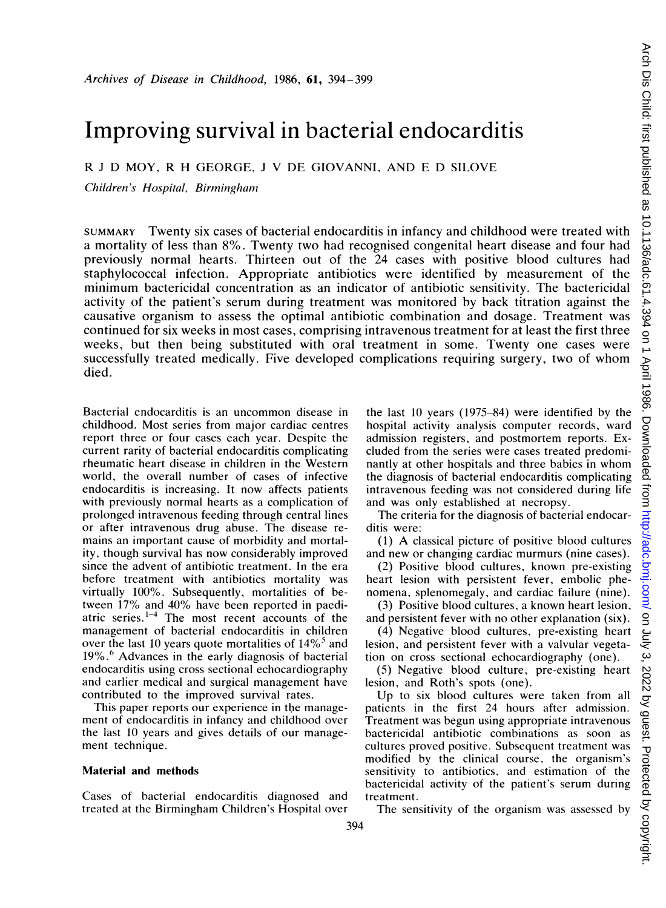# Improving survival in bacterial endocarditis

R <sup>J</sup> D MOY, R H GEORGE, <sup>J</sup> V DE GIOVANNI, AND E D SILOVE

Children's Hospital, Birmingham

SUMMARY Twenty six cases of bacterial endocarditis in infancy and childhood were treated with a mortality of less than 8%. Twenty two had recognised congenital heart disease and four had previously normal hearts. Thirteen out of the 24 cases with positive blood cultures had staphylococcal infection. Appropriate antibiotics were identified by measurement of the minimum bactericidal concentration as an indicator of antibiotic sensitivity. The bactericidal activity of the patient's serum during treatment was monitored by back titration against the causative organism to assess the optimal antibiotic combination and dosage. Treatment was continued for six weeks in most cases, comprising intravenous treatment for at least the first three weeks, but then being substituted with oral treatment in some. Twenty one cases were successfully treated medically. Five developed complications requiring surgery, two of whom died.

Bacterial endocarditis is an uncommon disease in childhood. Most series from major cardiac centres report three or four cases each year. Despite the current rarity of bacterial endocarditis complicating rheumatic heart disease in children in the Western world, the overall number of cases of infective endocarditis is increasing. It now affects patients with previously normal hearts as a complication of prolonged intravenous feeding through central lines prolonged intravenous feeding through central lines or after intravenous drug abuse. The disease remains an important cause of morbidity and mortality, though survival has now considerably improved since the advent of antibiotic treatment. In the era before treatment with antibiotics mortality was virtually 100%. Subsequently, mortalities of be-<br>tween 17% and 40% have been reported in paeditween  $17\%$  and  $40\%$  have been reported in paediatric series. The most recent accounts of the management of bacterial endocarditis in children over the last 10 years quote mortalities of  $14\%$ <sup>5</sup> and 19%.6 Advances in the early diagnosis of bacterial endocarditis using cross sectional echocardiography and earlier medical and surgical management have contributed to the improved survival rates.

This paper reports our experience in the management of endocarditis in infancy and childhood over the last 10 years and gives details of our management technique.

### Material and methods

Cases of bacterial endocarditis diagnosed and treated at the Birmingham Children's Hospital over the last 10 years (1975-84) were identified by the hospital activity analysis computer records, ward admission registers, and postmortem reports. Excluded from the series were cases treated predominantly at other hospitals and three babies in whom the diagnosis of bacterial endocarditis complicating intravenous feeding was not considered during life and was only established at necropsy.

The criteria for the diagnosis of bacterial endocar-

(1) A classical picture of positive blood cultures<br> $\frac{1}{2}$  classical picture of positive blood cultures and new or changing cardiac murmurs (nine cases).

(2) Positive blood cultures, known pre-existing heart lesion with persistent fever, embolic phenomena, splenomegaly, and cardiac failure (nine).

(3) Positive blood cultures, a known heart lesion, and persistent fever with no other explanation (six).

(4) Negative blood cultures, pre-existing heart lesion, and persistent fever with a valvular vegetation on cross sectional echocardiography (one).

(5) Negative blood culture, pre-existing heart lesion, and Roth's spots (one).

Up to six blood cultures were taken from all patients in the first 24 hours after admission. Treatment was begun using appropriate intravenous bactericidal antibiotic combinations as soon as cultures proved positive. Subsequent treatment was modified by the clinical course, the organism's sensitivity to antibiotics, and estimation of the bactericidal activity of the patient's serum during treatment.

The sensitivity of the organism was assessed by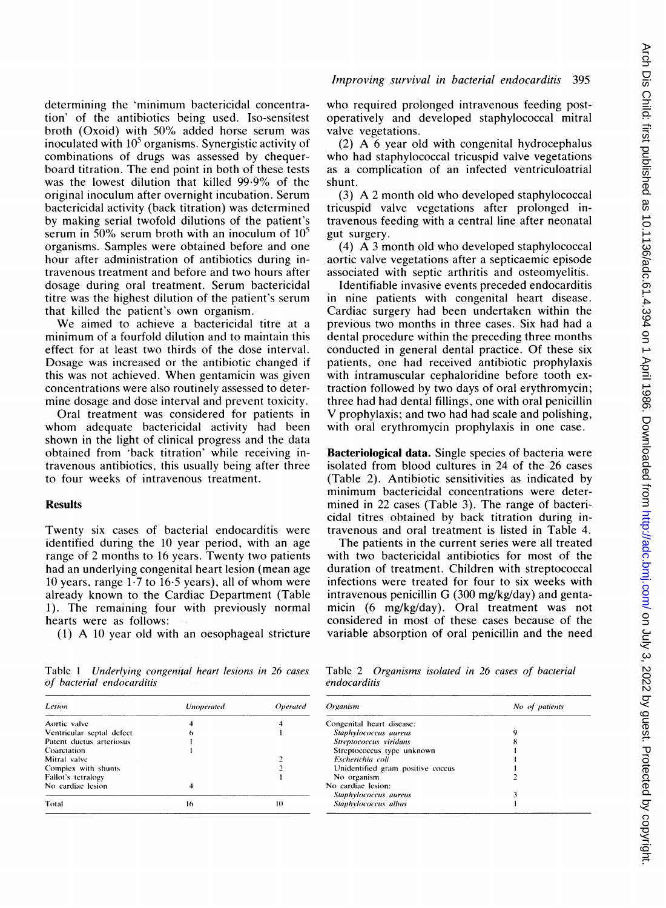determining the 'minimum bactericidal concentration' of the antibiotics being used. Iso-sensitest broth (Oxoid) with 50% added horse serum was inoculated with  $10<sup>5</sup>$  organisms. Synergistic activity of combinations of drugs was assessed by chequerboard titration. The end point in both of these tests was the lowest dilution that killed <sup>99</sup> 9% of the original inoculum after overnight incubation. Serum bactericidal activity (back titration) was determined by making serial twofold dilutions of the patient's serum in 50% serum broth with an inoculum of  $10<sup>5</sup>$ organisms. Samples were obtained before and one hour after administration of antibiotics during intravenous treatment and before and two hours after dosage during oral treatment. Serum bactericidal titre was the highest dilution of the patient's serum that killed the patient's own organism.

We aimed to achieve <sup>a</sup> bactericidal titre at <sup>a</sup> minimum of a fourfold dilution and to maintain this effect for at least two thirds of the dose interval. Dosage was increased or the antibiotic changed if this was not achieved. When gentamicin was given concentrations were also routinely assessed to determine dosage and dose interval and prevent toxicity.

Oral treatment was considered for patients in whom adequate bactericidal activity had been shown in the light of clinical progress and the data obtained from 'back titration' while receiving intravenous antibiotics, this usually being after three to four weeks of intravenous treatment.

#### Results

Twenty six cases of bacterial endocarditis were identified during the 10 year period, with an age range of 2 months to 16 years. Twenty two patients had an underlying congenital heart lesion (mean age 10 years, range  $1-7$  to 16-5 years), all of whom were already known to the Cardiac Department (Table 1). The remaining four with previously normal hearts were as follows:

(1) A <sup>10</sup> year old with an oesophageal stricture

Table <sup>1</sup> Underlying congenital heart lesions in 26 cases of bacterial endocarditis

| <b>Lesion</b>             | <b>Unoperated</b> | <b>Operated</b> |
|---------------------------|-------------------|-----------------|
| Aortic valve              |                   |                 |
| Ventricular septal defect | h                 |                 |
| Patent ductus arteriosus  |                   |                 |
| Coarctation               |                   |                 |
| Mitral valve              |                   |                 |
| Complex with shunts       |                   |                 |
| Fallot's tetralogy        |                   |                 |
| No cardiac lesion         |                   |                 |
| Total                     | 16                | 10              |

who required prolonged intravenous feeding postoperatively and developed staphylococcal mitral valve vegetations.

(2) A <sup>6</sup> year old with congenital hydrocephalus who had staphylococcal tricuspid valve vegetations as a complication of an infected ventriculoatrial shunt.

(3) A <sup>2</sup> month old who developed staphylococcal tricuspid valve vegetations after prolonged intravenous feeding with a central line after neonatal gut surgery.

(4) A <sup>3</sup> month old who developed staphylococcal aortic valve vegetations after a septicaemic episode associated with septic arthritis and osteomyelitis.

Identifiable invasive events preceded endocarditis in nine patients with congenital heart disease. Cardiac surgery had been undertaken within the previous two months in three cases. Six had had a dental procedure within the preceding three months conducted in general dental practice. Of these six patients, one had received antibiotic prophylaxis with intramuscular cephaloridine before tooth extraction followed by two days of oral erythromycin; three had had dental fillings, one with oral penicillin V prophylaxis; and two had had scale and polishing, with oral erythromycin prophylaxis in one case.

Bacteriological data. Single species of bacteria were isolated from blood cultures in 24 of the 26 cases (Table 2). Antibiotic sensitivities as indicated by minimum bactericidal concentrations were determined in 22 cases (Table 3). The range of bactericidal titres obtained by back titration during intravenous and oral treatment is listed in Table 4.

The patients in the current series were all treated with two bactericidal antibiotics for most of the duration of treatment. Children with streptococcal infections were treated for four to six weeks with intravenous penicillin G (300 mg/kg/day) and gentamicin (6 mg/kg/day). Oral treatment was not considered in most of these cases because of the variable absorption of oral penicillin and the need

Table 2 Organisms isolated in 26 cases of bacterial endocarditis

| <b>Organism</b>                   | No of patients |  |  |
|-----------------------------------|----------------|--|--|
| Congenital heart disease:         |                |  |  |
| Staphylococcus aureus             | 9              |  |  |
| Streptococcus viridans            | 8              |  |  |
| Streptococcus type unknown        |                |  |  |
| Escherichia coli                  |                |  |  |
| Unidentified gram positive coccus |                |  |  |
| No organism                       |                |  |  |
| No cardiac lesion:                |                |  |  |
| Staphylococcus aureus             |                |  |  |
| Staphylococcus albus              |                |  |  |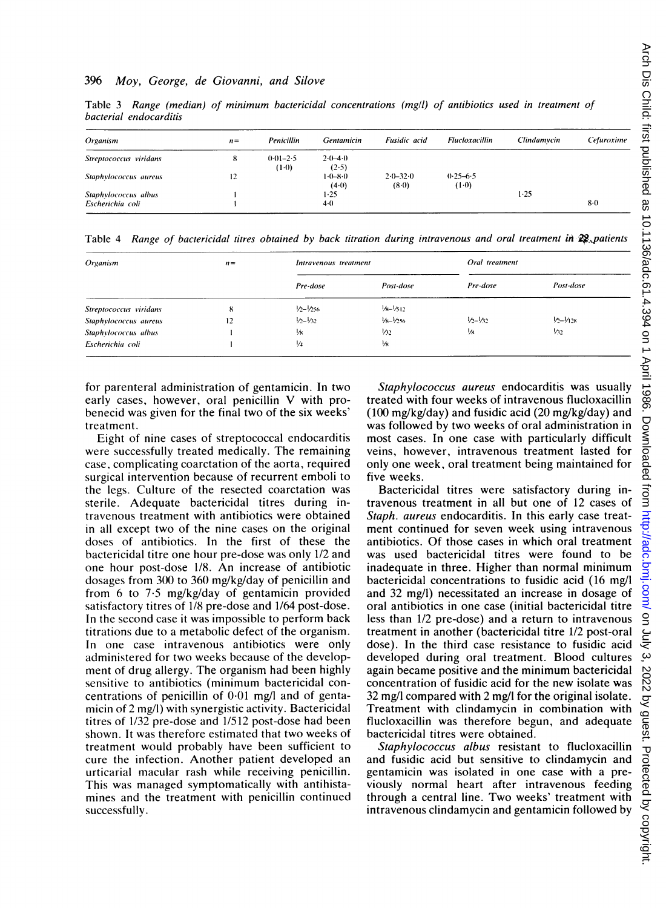#### 396 Moy, George, de Giovanni, and Silove

Table 3 Range (median) of minimum bactericidal concentrations (mg/l) of antibiotics used in treatment of bacterial endocarditis

| Organism               | $n =$ | Penicillin              | Gentamicin             | <b>Fusidic</b> acid     | Flucloxacillin          | Clindamycin | <b>Cefuroxime</b> |
|------------------------|-------|-------------------------|------------------------|-------------------------|-------------------------|-------------|-------------------|
| Streptococcus viridans | 8     | $0.01 - 2.5$<br>$(1-0)$ | $2.0 - 4.0$<br>(2.5)   |                         |                         |             |                   |
| Staphylococcus aureus  | 12    |                         | $1.0 - 8.0$<br>$(4-0)$ | $2.0 - 32.0$<br>$(8-0)$ | $0.25 - 6.5$<br>$(1-0)$ |             |                   |
| Staphylococcus albus   |       |                         | 1.25                   |                         |                         | $1 - 25$    |                   |
| Escherichia coli       |       |                         | $4-0$                  |                         |                         |             | $8-0$             |

Table 4 Range of bactericidal titres obtained by back titration during intravenous and oral treatment in 28 patients

| Organism               | $n =$ | Intravenous treatment |               | Oral treatment |               |
|------------------------|-------|-----------------------|---------------|----------------|---------------|
|                        |       | Pre-dose              | Post-dose     | Pre-dose       | Post-dose     |
| Streptococcus viridans | 8     | $1/2 - 1/256$         | $1/8 - 1/512$ |                |               |
| Staphylococcus aureus  | 12    | $1/2 - 1/32$          | 1/8-1/256     | リクーリク2         | $1/2 - 1/128$ |
| Staphylococcus albus   |       | 1/8                   | 1/32          | 1⁄к            | 1/32          |
| Escherichia coli       |       | $\frac{1}{4}$         | ١⁄κ           |                |               |

for parenteral administration of gentamicin. In two early cases, however, oral penicillin V with probenecid was given for the final two of the six weeks' treatment.

Eight of nine cases of streptococcal endocarditis were successfully treated medically. The remaining case, complicating coarctation of the aorta, required surgical intervention because of recurrent emboli to the legs. Culture of the resected coarctation was sterile. Adequate bactericidal titres during intravenous treatment with antibiotics were obtained in all except two of the nine cases on the original doses of antibiotics. In the first of these the bactericidal titre one hour pre-dose was only 1/2 and one hour post-dose 1/8. An increase of antibiotic dosages from 300 to 360 mg/kg/day of penicillin and from 6 to 7.5 mg/kg/day of gentamicin provided satisfactory titres of 1/8 pre-dose and 1/64 post-dose. In the second case it was impossible to perform back titrations due to a metabolic defect of the organism. In one case intravenous antibiotics were only administered for two weeks because of the development of drug allergy. The organism had been highly sensitive to antibiotics (minimum bactericidal concentrations of penicillin of  $0.01$  mg/l and of gentamicin of 2 mg/l) with synergistic activity. Bactericidal titres of 1/32 pre-dose and 1/512 post-dose had been shown. It was therefore estimated that two weeks of treatment would probably have been sufficient to cure the infection. Another patient developed an urticarial macular rash while receiving penicillin. This was managed symptomatically with antihistamines and the treatment with penicillin continued successfully.

Staphylococcus aureus endocarditis was usually treated with four weeks of intravenous flucloxacillin  $(100 \text{ mg/kg/day})$  and fusidic acid  $(20 \text{ mg/kg/day})$  and was followed by two weeks of oral administration in most cases. In one case with particularly difficult veins, however, intravenous treatment lasted for only one week, oral treatment being maintained for five weeks.

Bactericidal titres were satisfactory during intravenous treatment in all but one of 12 cases of Staph. aureus endocarditis. In this early case treatment continued for seven week using intravenous antibiotics. Of those cases in which oral treatment was used bactericidal titres were found to be inadequate in three. Higher than normal minimum bactericidal concentrations to fusidic acid (16 mg/l and 32 mg/l) necessitated an increase in dosage of oral antibiotics in one case (initial bactericidal titre less than 1/2 pre-dose) and a return to intravenous treatment in another (bactericidal titre 1/2 post-oral dose). In the third case resistance to fusidic acid developed during oral treatment. Blood cultures again became positive and the minimum bactericidal concentration of fusidic acid for the new isolate was 32 mg/l compared with 2 mg/l for the original isolate. Treatment with clindamycin in combination with flucloxacillin was therefore begun, and adequate bactericidal titres were obtained.

Staphylococcus albus resistant to flucloxacillin and fusidic acid but sensitive to clindamycin and gentamicin was isolated in one case with a previously normal heart after intravenous feeding through a central line. Two weeks' treatment with intravenous clindamycin and gentamicin followed by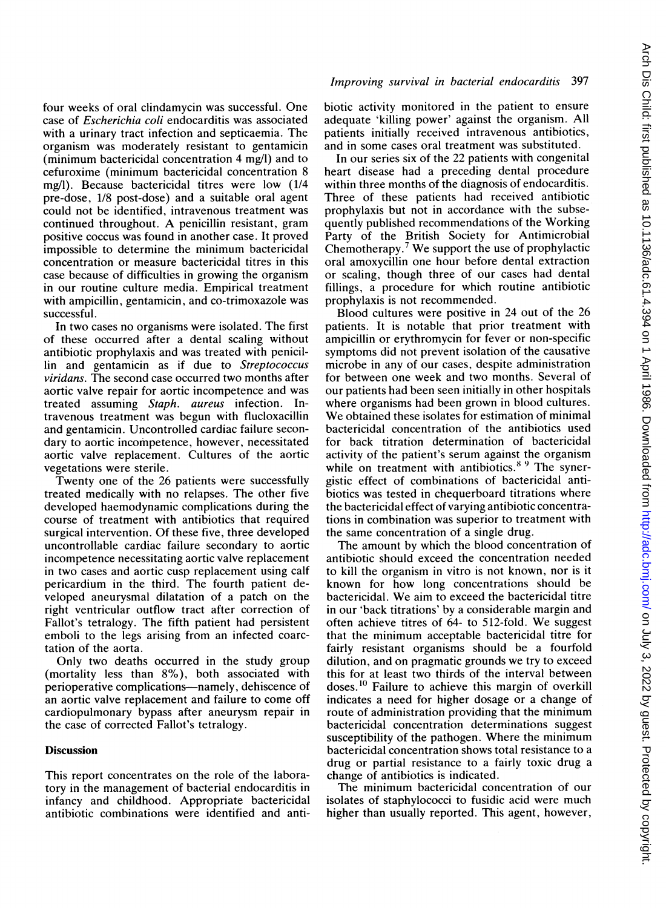four weeks of oral clindamycin was successful. One case of Escherichia coli endocarditis was associated with a urinary tract infection and septicaemia. The organism was moderately resistant to gentamicin (minimum bactericidal concentration 4 mg/l) and to cefuroxime (minimum bactericidal concentration 8 mg/l). Because bactericidal titres were low (1/4 pre-dose, 1/8 post-dose) and a suitable oral agent could not be identified, intravenous treatment was continued throughout. A penicillin resistant, gram positive coccus was found in another case. It proved impossible to determine the minimum bactericidal concentration or measure bactericidal titres in this case because of difficulties in growing the organism in our routine culture media. Empirical treatment with ampicillin, gentamicin, and co-trimoxazole was successful.

In two cases no organisms were isolated. The first of these occurred after a dental scaling without antibiotic prophylaxis and was treated with penicillin and gentamicin as if due to Streptococcus viridans. The second case occurred two months after aortic valve repair for aortic incompetence and was treated assuming Staph. aureus infection. Intravenous treatment was begun with flucloxacillin and gentamicin. Uncontrolled cardiac failure secondary to aortic incompetence, however, necessitated aortic valve replacement. Cultures of the aortic vegetations were sterile.

Twenty one of the 26 patients were successfully treated medically with no relapses. The other five developed haemodynamic complications during the course of treatment with antibiotics that required surgical intervention. Of these five, three developed uncontrollable cardiac failure secondary to aortic incompetence necessitating aortic valve replacement in two cases and aortic cusp replacement using calf pericardium in the third. The fourth patient developed aneurysmal dilatation of a patch on the right ventricular outflow tract after correction of Fallot's tetralogy. The fifth patient had persistent emboli to the legs arising from an infected coarctation of the aorta.

Only two deaths occurred in the study group (mortality less than 8%), both associated with perioperative complications-namely, dehiscence of an aortic valve replacement and failure to come off cardiopulmonary bypass after aneurysm repair in the case of corrected Fallot's tetralogy.

#### **Discussion**

This report concentrates on the role of the laboratory in the management of bacterial endocarditis in infancy and childhood. Appropriate bactericidal antibiotic combinations were identified and anti-

## Improving survival in bacterial endocarditis 397

biotic activity monitored in the patient to ensure adequate 'killing power' against the organism. All patients initially received intravenous antibiotics, and in some cases oral treatment was substituted.

In our series six of the 22 patients with congenital heart disease had a preceding dental procedure within three months of the diagnosis of endocarditis. Three of these patients had received antibiotic prophylaxis but not in accordance with the subsequently published recommendations of the Working Party of the British Society for Antimicrobial<br>Chemotherapy.<sup>7</sup> We support the use of prophylactic oral amoxycillin one hour before dental extraction or scaling, though three of our cases had dental fillings, a procedure for which routine antibiotic prophylaxis is not recommended.

Blood cultures were positive in 24 out of the 26 patients. It is notable that prior treatment with ampicillin or erythromycin for fever or non-specific symptoms did not prevent isolation of the causative microbe in any of our cases, despite administration for between one week and two months. Several of our patients had been seen initially in other hospitals where organisms had been grown in blood cultures. We obtained these isolates for estimation of minimal bactericidal concentration of the antibiotics used for back titration determination of bactericidal activity of the patient's serum against the organism while on treatment with antibiotics.<sup>8 9</sup> The synergistic effect of combinations of bactericidal antibiotics was tested in chequerboard titrations where the bactericidal effect of varying antibiotic concentrations in combination was superior to treatment with the same concentration of a single drug.

The amount by which the blood concentration of antibiotic should exceed the concentration needed to kill the organism in vitro is not known, nor is it known for how long concentrations should be bactericidal. We aim to exceed the bactericidal titre in our 'back titrations' by a considerable margin and often achieve titres of 64- to 512-fold. We suggest that the minimum acceptable bactericidal titre for fairly resistant organisms should be a fourfold dilution, and on pragmatic grounds we try to exceed this for at least two thirds of the interval between doses.'0 Failure to achieve this margin of overkill indicates a need for higher dosage or a change of route of administration providing that the minimum bactericidal concentration determinations suggest susceptibility of the pathogen. Where the minimum bactericidal concentration shows total resistance to a drug or partial resistance to a fairly toxic drug a change of antibiotics is indicated.

The minimum bactericidal concentration of our isolates of staphylococci to fusidic acid were much higher than usually reported. This agent, however,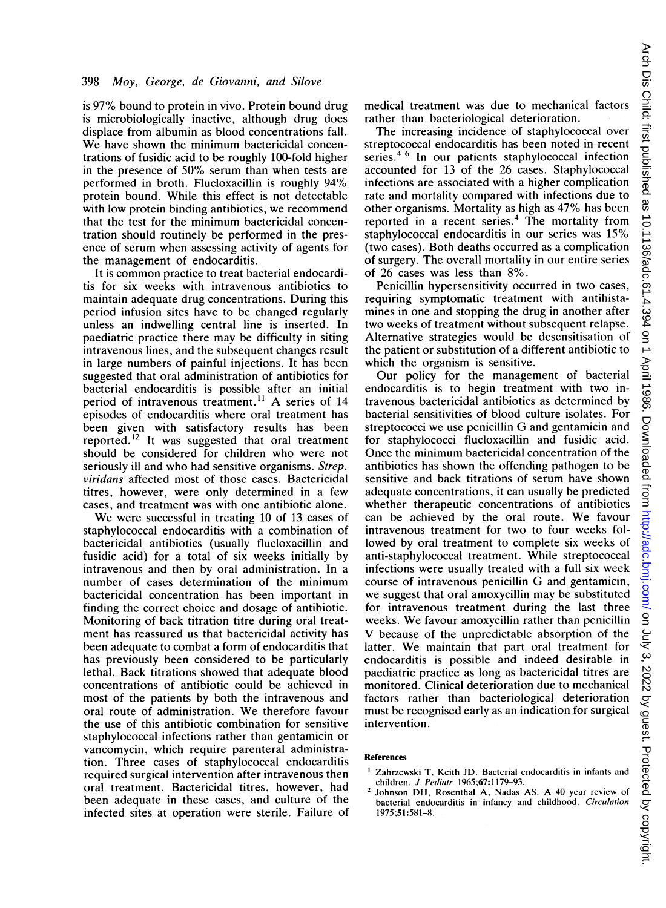#### 398 Moy, George, de Giovanni, and Silove

is 97% bound to protein in vivo. Protein bound drug is microbiologically inactive, although drug does displace from albumin as blood concentrations fall. We have shown the minimum bactericidal concentrations of fusidic acid to be roughly 100-fold higher in the presence of 50% serum than when tests are performed in broth. Flucloxacillin is roughly 94% protein bound. While this effect is not detectable with low protein binding antibiotics, we recommend that the test for the minimum bactericidal concentration should routinely be performed in the presence of serum when assessing activity of agents for the management of endocarditis.

It is common practice to treat bacterial endocarditis for six weeks with intravenous antibiotics to maintain adequate drug concentrations. During this period infusion sites have to be changed regularly unless an indwelling central line is inserted. In paediatric practice there may be difficulty in siting intravenous lines, and the subsequent changes result in large numbers of painful injections. It has been suggested that oral administration of antibiotics for bacterial endocarditis is possible after an initial period of intravenous treatment.<sup>11</sup> A series of 14 episodes of endocarditis where oral treatment has been given with satisfactory results has been reported. <sup>12</sup> It was suggested that oral treatment should be considered for children who were not seriously ill and who had sensitive organisms. Strep. viridans affected most of those cases. Bactericidal titres, however, were only determined in a few cases, and treatment was with one antibiotic alone.

We were successful in treating <sup>10</sup> of <sup>13</sup> cases of staphylococcal endocarditis with a combination of bactericidal antibiotics (usually flucloxacillin and fusidic acid) for a total of six weeks initially by intravenous and then by oral administration. In a number of cases determination of the minimum bactericidal concentration has been important in finding the correct choice and dosage of antibiotic. Monitoring of back titration titre during oral treatment has reassured us that bactericidal activity has been adequate to combat a form of endocarditis that has previously been considered to be particularly lethal. Back titrations showed that adequate blood concentrations of antibiotic could be achieved in most of the patients by both the intravenous and oral route of administration. We therefore favour the use of this antibiotic combination for sensitive staphylococcal infections rather than gentamicin or vancomycin, which require parenteral administration. Three cases of staphylococcal endocarditis required surgical intervention after intravenous then oral treatment. Bactericidal titres, however, had been adequate in these cases, and culture of the infected sites at operation were sterile. Failure of medical treatment was due to mechanical factors rather than bacteriological deterioration.

The increasing incidence of staphylococcal over streptococcal endocarditis has been noted in recent series.<sup>4 6</sup> In our patients staphylococcal infection accounted for 13 of the 26 cases. Staphylococcal infections are associated with a higher complication rate and mortality compared with infections due to other organisms. Mortality as high as 47% has been reported in a recent series.<sup>4</sup> The mortality from staphylococcal endocarditis in our series was 15% (two cases). Both deaths occurred as a complication of surgery. The overall mortality in our entire series of 26 cases was less than 8%.

Penicillin hypersensitivity occurred in two cases, requiring symptomatic treatment with antihistamines in one and stopping the drug in another after two weeks of treatment without subsequent relapse. Alternative strategies would be desensitisation of the patient or substitution of a different antibiotic to which the organism is sensitive.

Our policy for the management of bacterial endocarditis is to begin treatment with two intravenous bactericidal antibiotics as determined by bacterial sensitivities of blood culture isolates. For streptococci we use penicillin G and gentamicin and for staphylococci flucloxacillin and fusidic acid. Once the minimum bactericidal concentration of the antibiotics has shown the offending pathogen to be sensitive and back titrations of serum have shown adequate concentrations, it can usually be predicted whether therapeutic concentrations of antibiotics can be achieved by the oral route. We favour intravenous treatment for two to four weeks followed by oral treatment to complete six weeks of anti-staphylococcal treatment. While streptococcal infections were usually treated with a full six week course of intravenous penicillin G and gentamicin. we suggest that oral amoxycillin may be substituted for intravenous treatment during the last three weeks. We favour amoxycillin rather than penicillin V because of the unpredictable absorption of the latter. We maintain that part oral treatment for endocarditis is possible and indeed desirable in paediatric practice as long as bactericidal titres are monitored. Clinical deterioration due to mechanical factors rather than bacteriological deterioration must be recognised early as an indication for surgical intervention.

#### References

- <sup>1</sup> Zahrzewski T, Keith JD. Bacterial endocarditis in infants and children. J Pediatr 1965;67:1179-93.
- <sup>2</sup> Johnson DH, Rosenthal A, Nadas AS. A 40 year review of bacterial endocarditis in infancy and childhood. Circulation 1975 ;51:58 1-8.